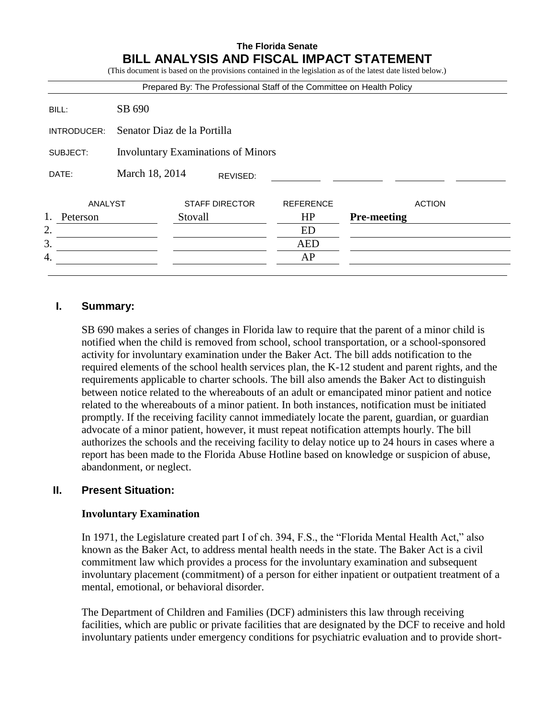#### **The Florida Senate BILL ANALYSIS AND FISCAL IMPACT STATEMENT** (This document is donot in the provision as  $\alpha$  of the latest date listed below.)

|             |                                           | Prepared By: The Professional Staff of the Committee on Health Policy |                  |                    |
|-------------|-------------------------------------------|-----------------------------------------------------------------------|------------------|--------------------|
| BILL:       | SB 690                                    |                                                                       |                  |                    |
| INTRODUCER: | Senator Diaz de la Portilla               |                                                                       |                  |                    |
| SUBJECT:    | <b>Involuntary Examinations of Minors</b> |                                                                       |                  |                    |
| DATE:       | March 18, 2014                            | REVISED:                                                              |                  |                    |
| ANALYST     |                                           | <b>STAFF DIRECTOR</b>                                                 | <b>REFERENCE</b> | <b>ACTION</b>      |
| Peterson    |                                           | Stovall                                                               | HP               | <b>Pre-meeting</b> |
| 2.          |                                           |                                                                       | ED               |                    |
| 3.          |                                           |                                                                       | <b>AED</b>       |                    |
| 4.          |                                           |                                                                       | AP               |                    |

## **I. Summary:**

SB 690 makes a series of changes in Florida law to require that the parent of a minor child is notified when the child is removed from school, school transportation, or a school-sponsored activity for involuntary examination under the Baker Act. The bill adds notification to the required elements of the school health services plan, the K-12 student and parent rights, and the requirements applicable to charter schools. The bill also amends the Baker Act to distinguish between notice related to the whereabouts of an adult or emancipated minor patient and notice related to the whereabouts of a minor patient. In both instances, notification must be initiated promptly. If the receiving facility cannot immediately locate the parent, guardian, or guardian advocate of a minor patient, however, it must repeat notification attempts hourly. The bill authorizes the schools and the receiving facility to delay notice up to 24 hours in cases where a report has been made to the Florida Abuse Hotline based on knowledge or suspicion of abuse, abandonment, or neglect.

### **II. Present Situation:**

#### **Involuntary Examination**

In 1971, the Legislature created part I of ch. 394, F.S., the "Florida Mental Health Act," also known as the Baker Act, to address mental health needs in the state. The Baker Act is a civil commitment law which provides a process for the involuntary examination and subsequent involuntary placement (commitment) of a person for either inpatient or outpatient treatment of a mental, emotional, or behavioral disorder.

The Department of Children and Families (DCF) administers this law through receiving facilities, which are public or private facilities that are designated by the DCF to receive and hold involuntary patients under emergency conditions for psychiatric evaluation and to provide short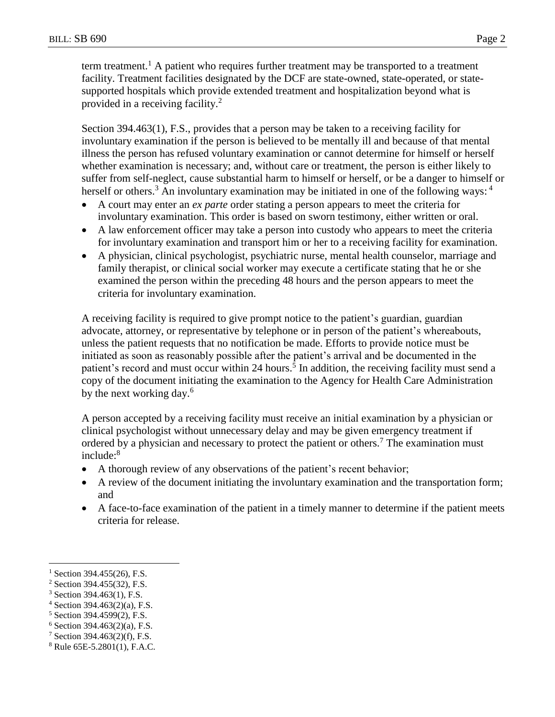term treatment.<sup>1</sup> A patient who requires further treatment may be transported to a treatment facility. Treatment facilities designated by the DCF are state-owned, state-operated, or statesupported hospitals which provide extended treatment and hospitalization beyond what is provided in a receiving facility. $^{2}$ 

Section 394.463(1), F.S., provides that a person may be taken to a receiving facility for involuntary examination if the person is believed to be mentally ill and because of that mental illness the person has refused voluntary examination or cannot determine for himself or herself whether examination is necessary; and, without care or treatment, the person is either likely to suffer from self-neglect, cause substantial harm to himself or herself, or be a danger to himself or herself or others.<sup>3</sup> An involuntary examination may be initiated in one of the following ways: <sup>4</sup>

- A court may enter an *ex parte* order stating a person appears to meet the criteria for involuntary examination. This order is based on sworn testimony, either written or oral.
- A law enforcement officer may take a person into custody who appears to meet the criteria for involuntary examination and transport him or her to a receiving facility for examination.
- A physician, clinical psychologist, psychiatric nurse, mental health counselor, marriage and family therapist, or clinical social worker may execute a certificate stating that he or she examined the person within the preceding 48 hours and the person appears to meet the criteria for involuntary examination.

A receiving facility is required to give prompt notice to the patient's guardian, guardian advocate, attorney, or representative by telephone or in person of the patient's whereabouts, unless the patient requests that no notification be made. Efforts to provide notice must be initiated as soon as reasonably possible after the patient's arrival and be documented in the patient's record and must occur within 24 hours.<sup>5</sup> In addition, the receiving facility must send a copy of the document initiating the examination to the Agency for Health Care Administration by the next working day.<sup>6</sup>

A person accepted by a receiving facility must receive an initial examination by a physician or clinical psychologist without unnecessary delay and may be given emergency treatment if ordered by a physician and necessary to protect the patient or others.<sup>7</sup> The examination must  $include: <sup>8</sup>$ 

- A thorough review of any observations of the patient's recent behavior;
- A review of the document initiating the involuntary examination and the transportation form; and
- A face-to-face examination of the patient in a timely manner to determine if the patient meets criteria for release.

 $\overline{a}$ 

 $^{1}$  Section 394.455(26), F.S.

<sup>2</sup> Section 394.455(32), F.S.

<sup>3</sup> Section 394.463(1), F.S.

 $4$  Section 394.463(2)(a), F.S.

<sup>5</sup> Section 394.4599(2), F.S.

 $6$  Section 394.463(2)(a), F.S.

<sup>7</sup> Section 394.463(2)(f), F.S.

<sup>8</sup> Rule 65E-5.2801(1), F.A.C.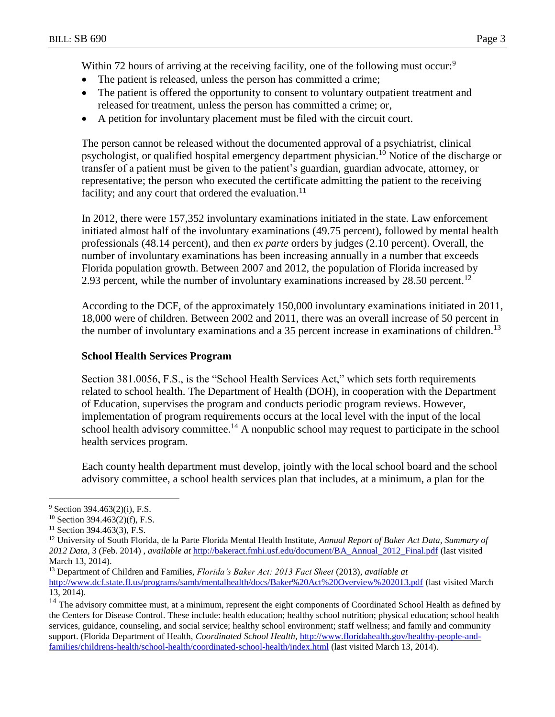Within 72 hours of arriving at the receiving facility, one of the following must occur:<sup>9</sup>

- The patient is released, unless the person has committed a crime;
- The patient is offered the opportunity to consent to voluntary outpatient treatment and released for treatment, unless the person has committed a crime; or,
- A petition for involuntary placement must be filed with the circuit court.

The person cannot be released without the documented approval of a psychiatrist, clinical psychologist, or qualified hospital emergency department physician.<sup>10</sup> Notice of the discharge or transfer of a patient must be given to the patient's guardian, guardian advocate, attorney, or representative; the person who executed the certificate admitting the patient to the receiving facility; and any court that ordered the evaluation.<sup>11</sup>

In 2012, there were 157,352 involuntary examinations initiated in the state. Law enforcement initiated almost half of the involuntary examinations (49.75 percent), followed by mental health professionals (48.14 percent), and then *ex parte* orders by judges (2.10 percent). Overall, the number of involuntary examinations has been increasing annually in a number that exceeds Florida population growth. Between 2007 and 2012, the population of Florida increased by 2.93 percent, while the number of involuntary examinations increased by 28.50 percent.<sup>12</sup>

According to the DCF, of the approximately 150,000 involuntary examinations initiated in 2011, 18,000 were of children. Between 2002 and 2011, there was an overall increase of 50 percent in the number of involuntary examinations and a 35 percent increase in examinations of children.<sup>13</sup>

## **School Health Services Program**

Section 381.0056, F.S., is the "School Health Services Act," which sets forth requirements related to school health. The Department of Health (DOH), in cooperation with the Department of Education, supervises the program and conducts periodic program reviews. However, implementation of program requirements occurs at the local level with the input of the local school health advisory committee.<sup>14</sup> A nonpublic school may request to participate in the school health services program.

Each county health department must develop, jointly with the local school board and the school advisory committee, a school health services plan that includes, at a minimum, a plan for the

 $\overline{a}$ 

 $9$  Section 394.463(2)(i), F.S.

<sup>10</sup> Section 394.463(2)(f), F.S.

<sup>&</sup>lt;sup>11</sup> Section 394.463(3), F.S.

<sup>12</sup> University of South Florida, de la Parte Florida Mental Health Institute, *Annual Report of Baker Act Data, Summary of 2012 Data*, 3 (Feb. 2014) , *available at* [http://bakeract.fmhi.usf.edu/document/BA\\_Annual\\_2012\\_Final.pdf](http://bakeract.fmhi.usf.edu/document/BA_Annual_2012_Final.pdf) (last visited March 13, 2014).

<sup>13</sup> Department of Children and Families, *Florida's Baker Act: 2013 Fact Sheet* (2013), *available at*

<http://www.dcf.state.fl.us/programs/samh/mentalhealth/docs/Baker%20Act%20Overview%202013.pdf> (last visited March 13, 2014).

<sup>&</sup>lt;sup>14</sup> The advisory committee must, at a minimum, represent the eight components of Coordinated School Health as defined by the Centers for Disease Control. These include: health education; healthy school nutrition; physical education; school health services, guidance, counseling, and social service; healthy school environment; staff wellness; and family and community support. (Florida Department of Health, *Coordinated School Health,* [http://www.floridahealth.gov/healthy-people-and](http://www.floridahealth.gov/healthy-people-and-families/childrens-health/school-health/coordinated-school-health/index.html)[families/childrens-health/school-health/coordinated-school-health/index.html](http://www.floridahealth.gov/healthy-people-and-families/childrens-health/school-health/coordinated-school-health/index.html) (last visited March 13, 2014).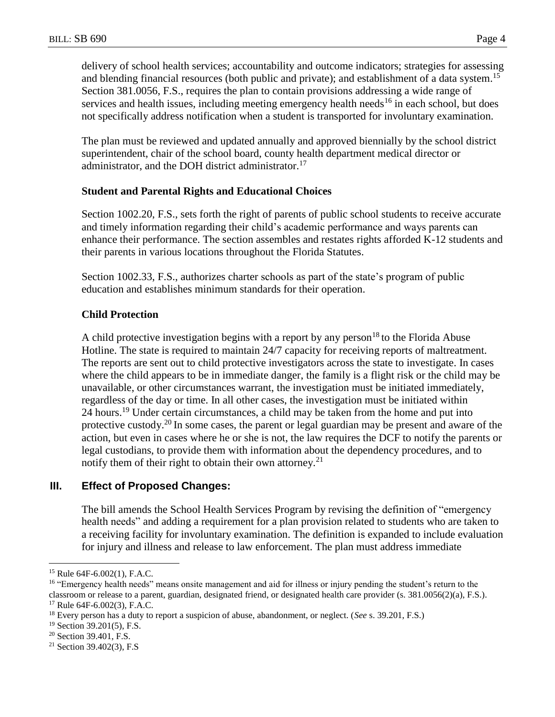delivery of school health services; accountability and outcome indicators; strategies for assessing and blending financial resources (both public and private); and establishment of a data system.<sup>15</sup> Section 381.0056, F.S., requires the plan to contain provisions addressing a wide range of services and health issues, including meeting emergency health needs<sup>16</sup> in each school, but does not specifically address notification when a student is transported for involuntary examination.

The plan must be reviewed and updated annually and approved biennially by the school district superintendent, chair of the school board, county health department medical director or administrator, and the DOH district administrator.<sup>17</sup>

#### **Student and Parental Rights and Educational Choices**

Section 1002.20, F.S., sets forth the right of parents of public school students to receive accurate and timely information regarding their child's academic performance and ways parents can enhance their performance. The section assembles and restates rights afforded K-12 students and their parents in various locations throughout the Florida Statutes.

Section 1002.33, F.S., authorizes charter schools as part of the state's program of public education and establishes minimum standards for their operation.

## **Child Protection**

A child protective investigation begins with a report by any person<sup>18</sup> to the Florida Abuse Hotline. The state is required to maintain 24/7 capacity for receiving reports of maltreatment. The reports are sent out to child protective investigators across the state to investigate. In cases where the child appears to be in immediate danger, the family is a flight risk or the child may be unavailable, or other circumstances warrant, the investigation must be initiated immediately, regardless of the day or time. In all other cases, the investigation must be initiated within 24 hours.<sup>19</sup> Under certain circumstances, a child may be taken from the home and put into protective custody.<sup>20</sup> In some cases, the parent or legal guardian may be present and aware of the action, but even in cases where he or she is not, the law requires the DCF to notify the parents or legal custodians, to provide them with information about the dependency procedures, and to notify them of their right to obtain their own attorney.<sup>21</sup>

## **III. Effect of Proposed Changes:**

The bill amends the School Health Services Program by revising the definition of "emergency health needs" and adding a requirement for a plan provision related to students who are taken to a receiving facility for involuntary examination. The definition is expanded to include evaluation for injury and illness and release to law enforcement. The plan must address immediate

 $\overline{a}$ 

<sup>15</sup> Rule 64F-6.002(1), F.A.C.

<sup>&</sup>lt;sup>16</sup> "Emergency health needs" means onsite management and aid for illness or injury pending the student's return to the classroom or release to a parent, guardian, designated friend, or designated health care provider (s. 381.0056(2)(a), F.S.). <sup>17</sup> Rule 64F-6.002(3), F.A.C.

<sup>18</sup> Every person has a duty to report a suspicion of abuse, abandonment, or neglect. (*See* s. 39.201, F.S.)

<sup>19</sup> Section 39.201(5), F.S.

<sup>&</sup>lt;sup>20</sup> Section 39.401, F.S.

 $21$  Section 39.402(3), F.S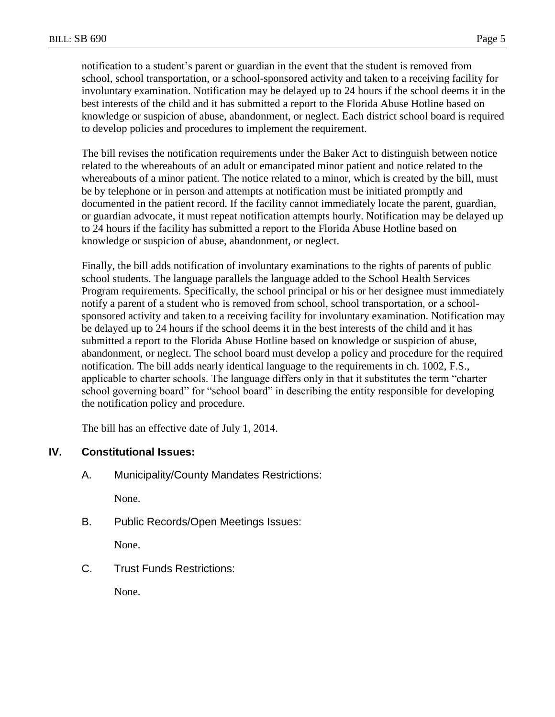notification to a student's parent or guardian in the event that the student is removed from school, school transportation, or a school-sponsored activity and taken to a receiving facility for involuntary examination. Notification may be delayed up to 24 hours if the school deems it in the best interests of the child and it has submitted a report to the Florida Abuse Hotline based on knowledge or suspicion of abuse, abandonment, or neglect. Each district school board is required to develop policies and procedures to implement the requirement.

The bill revises the notification requirements under the Baker Act to distinguish between notice related to the whereabouts of an adult or emancipated minor patient and notice related to the whereabouts of a minor patient. The notice related to a minor, which is created by the bill, must be by telephone or in person and attempts at notification must be initiated promptly and documented in the patient record. If the facility cannot immediately locate the parent, guardian, or guardian advocate, it must repeat notification attempts hourly. Notification may be delayed up to 24 hours if the facility has submitted a report to the Florida Abuse Hotline based on knowledge or suspicion of abuse, abandonment, or neglect.

Finally, the bill adds notification of involuntary examinations to the rights of parents of public school students. The language parallels the language added to the School Health Services Program requirements. Specifically, the school principal or his or her designee must immediately notify a parent of a student who is removed from school, school transportation, or a schoolsponsored activity and taken to a receiving facility for involuntary examination. Notification may be delayed up to 24 hours if the school deems it in the best interests of the child and it has submitted a report to the Florida Abuse Hotline based on knowledge or suspicion of abuse, abandonment, or neglect. The school board must develop a policy and procedure for the required notification. The bill adds nearly identical language to the requirements in ch. 1002, F.S., applicable to charter schools. The language differs only in that it substitutes the term "charter school governing board" for "school board" in describing the entity responsible for developing the notification policy and procedure.

The bill has an effective date of July 1, 2014.

# **IV. Constitutional Issues:**

A. Municipality/County Mandates Restrictions:

None.

B. Public Records/Open Meetings Issues:

None.

C. Trust Funds Restrictions:

None.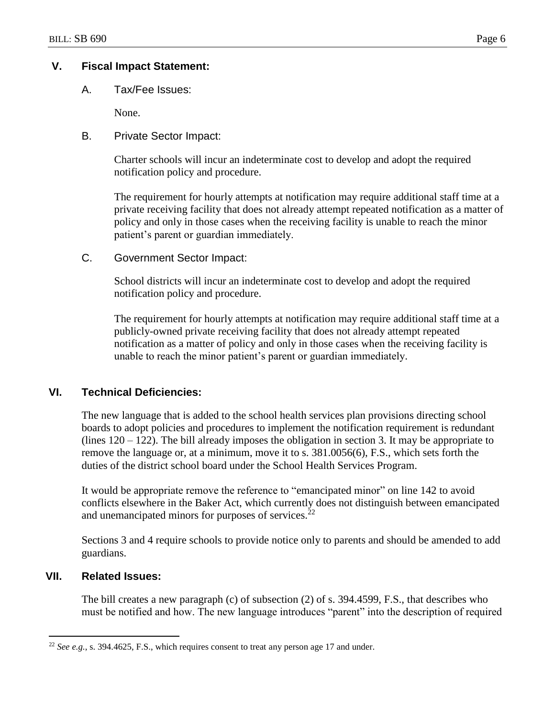## **V. Fiscal Impact Statement:**

A. Tax/Fee Issues:

None.

B. Private Sector Impact:

Charter schools will incur an indeterminate cost to develop and adopt the required notification policy and procedure.

The requirement for hourly attempts at notification may require additional staff time at a private receiving facility that does not already attempt repeated notification as a matter of policy and only in those cases when the receiving facility is unable to reach the minor patient's parent or guardian immediately.

C. Government Sector Impact:

School districts will incur an indeterminate cost to develop and adopt the required notification policy and procedure.

The requirement for hourly attempts at notification may require additional staff time at a publicly-owned private receiving facility that does not already attempt repeated notification as a matter of policy and only in those cases when the receiving facility is unable to reach the minor patient's parent or guardian immediately.

### **VI. Technical Deficiencies:**

The new language that is added to the school health services plan provisions directing school boards to adopt policies and procedures to implement the notification requirement is redundant (lines  $120 - 122$ ). The bill already imposes the obligation in section 3. It may be appropriate to remove the language or, at a minimum, move it to s. 381.0056(6), F.S., which sets forth the duties of the district school board under the School Health Services Program.

It would be appropriate remove the reference to "emancipated minor" on line 142 to avoid conflicts elsewhere in the Baker Act, which currently does not distinguish between emancipated and unemancipated minors for purposes of services.<sup>22</sup>

Sections 3 and 4 require schools to provide notice only to parents and should be amended to add guardians.

#### **VII. Related Issues:**

 $\overline{a}$ 

The bill creates a new paragraph (c) of subsection (2) of s. 394.4599, F.S., that describes who must be notified and how. The new language introduces "parent" into the description of required

<sup>22</sup> *See e.g.*, s. 394.4625, F.S., which requires consent to treat any person age 17 and under.